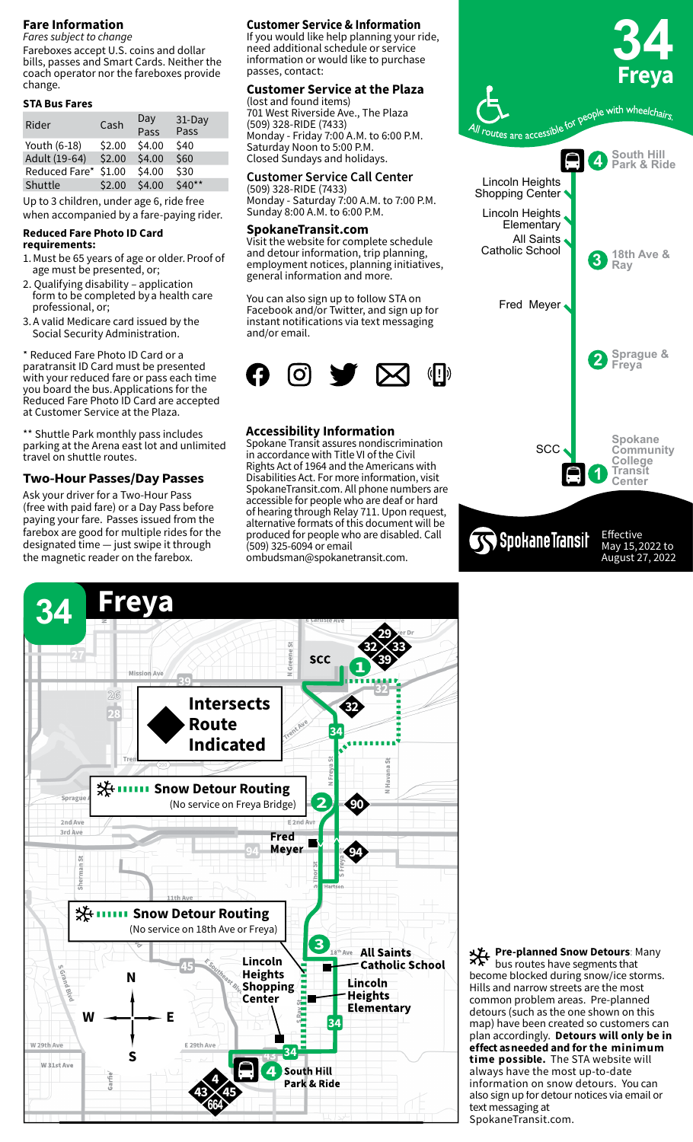# **Fare Information**

*Fares subject to change* Fareboxes accept U.S. coins and dollar bills, passes and Smart Cards. Neither the coach operator nor the fareboxes provide change.

#### **STA Bus Fares**

| Rider         | Cash   | Day<br>Pass | $31$ -Day<br>Pass |
|---------------|--------|-------------|-------------------|
| Youth (6-18)  | \$2.00 | \$4.00      | \$40              |
| Adult (19-64) | \$2.00 | \$4.00      | \$60              |
| Reduced Fare* | \$1.00 | \$4.00      | \$30              |
| Shuttle       | \$2.00 | \$4.00      | $$40**$           |
|               |        |             |                   |

Up to 3 children, under age 6, ride free when accompanied by a fare-paying rider.

# **Reduced Fare Photo ID Card**

- **requirements:**
- 1. Must be 65 years of age or older. Proof of age must be presented, or;
- 2. Qualifying disability application form to be completed by a health care professional, or;
- 3. A valid Medicare card issued by the Social Security Administration.

\* Reduced Fare Photo ID Card or a paratransit ID Card must be presented with your reduced fare or pass each time you board the bus. Applications for the Reduced Fare Photo ID Card are accepted at Customer Service at the Plaza. 

\*\* Shuttle Park monthly pass includes parking at the Arena east lot and unlimited travel on shuttle routes.

# **Two-Hour Passes/Day Passes**

Ask your driver for a Two-Hour Pass (free with paid fare) or a Day Pass before paying your fare.  Passes issued from the farebox are good for multiple rides for the designated time — just swipe it through the magnetic reader on the farebox.

# **Customer Service & Information**

If you would like help planning your ride, need additional schedule or service information or would like to purchase passes, contact:

#### **Customer Service at the Plaza** (lost and found items)

701 West Riverside Ave., The Plaza (509) 328-RIDE (7433) Monday - Friday 7:00 A.M. to 6:00 P.M. Saturday Noon to 5:00 P.M. Closed Sundays and holidays.

#### **Customer Service Call Center**

(509) 328-RIDE (7433) Monday - Saturday 7:00 A.M. to 7:00 P.M. Sunday 8:00 A.M. to 6:00 P.M.

#### **SpokaneTransit.com**

Visit the website for complete schedule and detour information, trip planning, employment notices, planning initiatives, general information and more.

You can also sign up to follow STA on Facebook and/or Twitter, and sign up for instant notifications via text messaging and/or email.



### **Accessibility Information**

Spokane Transit assures nondiscrimination in accordance with Title VI of the Civil Rights Act of 1964 and the Americans with Disabilities Act. For more information, visit SpokaneTransit.com. All phone numbers are accessible for people who are deaf or hard of hearing through Relay 711. Upon request, alternative formats of this document will be produced for people who are disabled. Call (509) 325-6094 or email ombudsman@spokanetransit.com.



August 27, 2022



**Pre-planned Snow Detours: Many** bus routes have segments that become blocked during snow/ice storms. Hills and narrow streets are the most common problem areas. Pre-planned detours (such as the one shown on this map) have been created so customers can plan accordingly. **Detours will only be in effect as needed and for the minimum time possible.** The STA website will always have the most up-to-date information on snow detours. You can also sign up for detour notices via email or text messaging at SpokaneTransit.com.